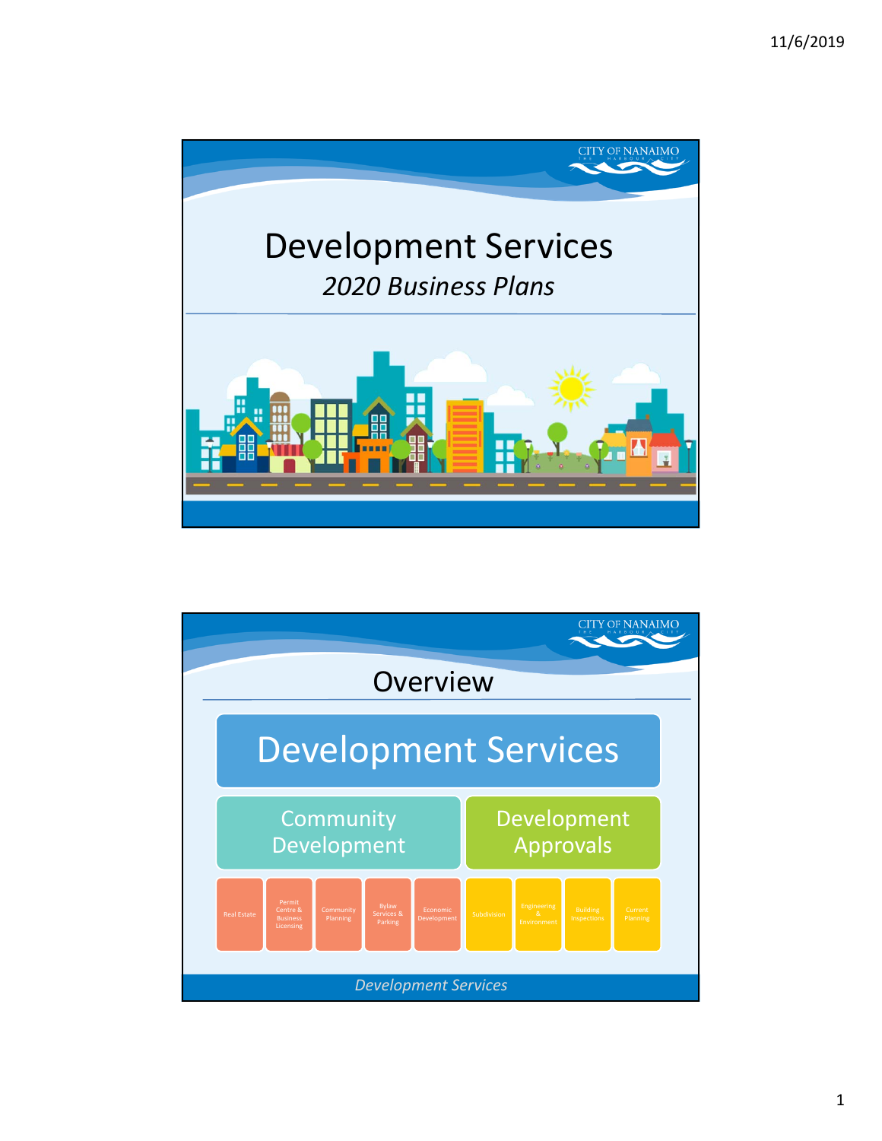

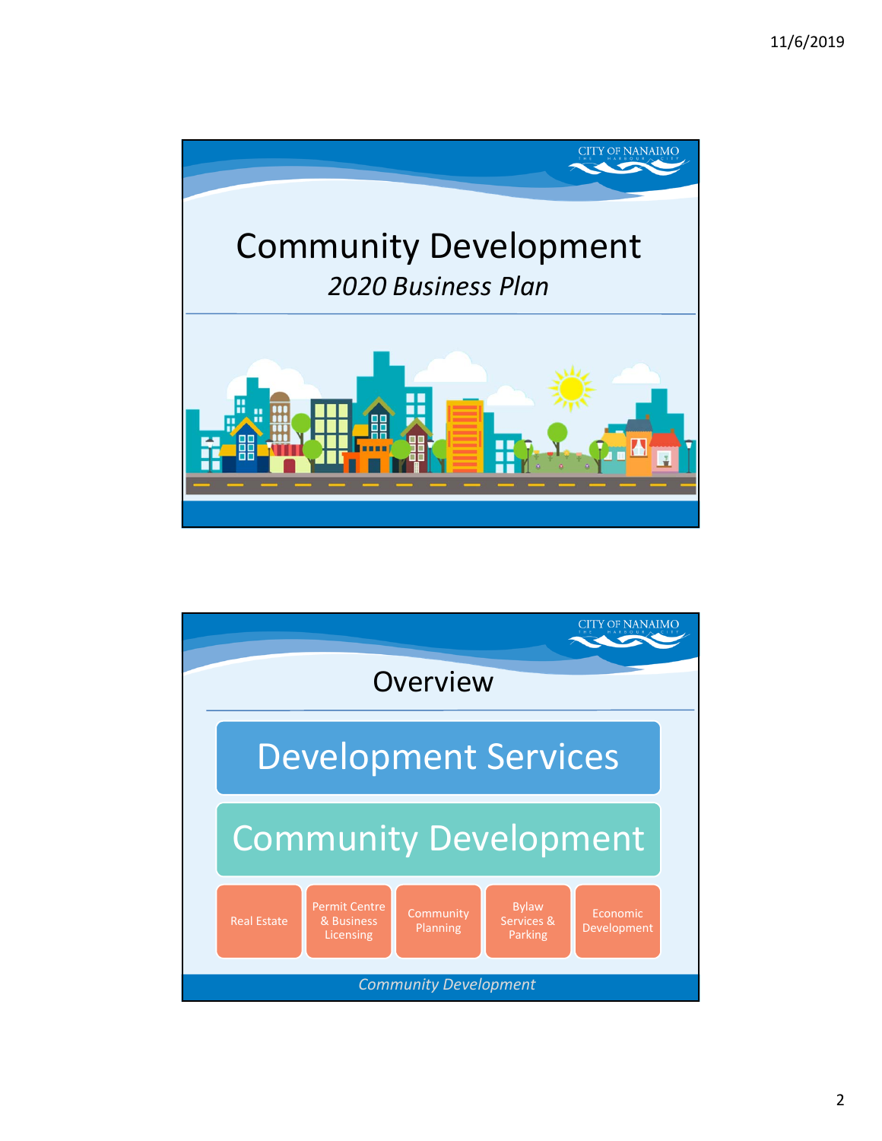

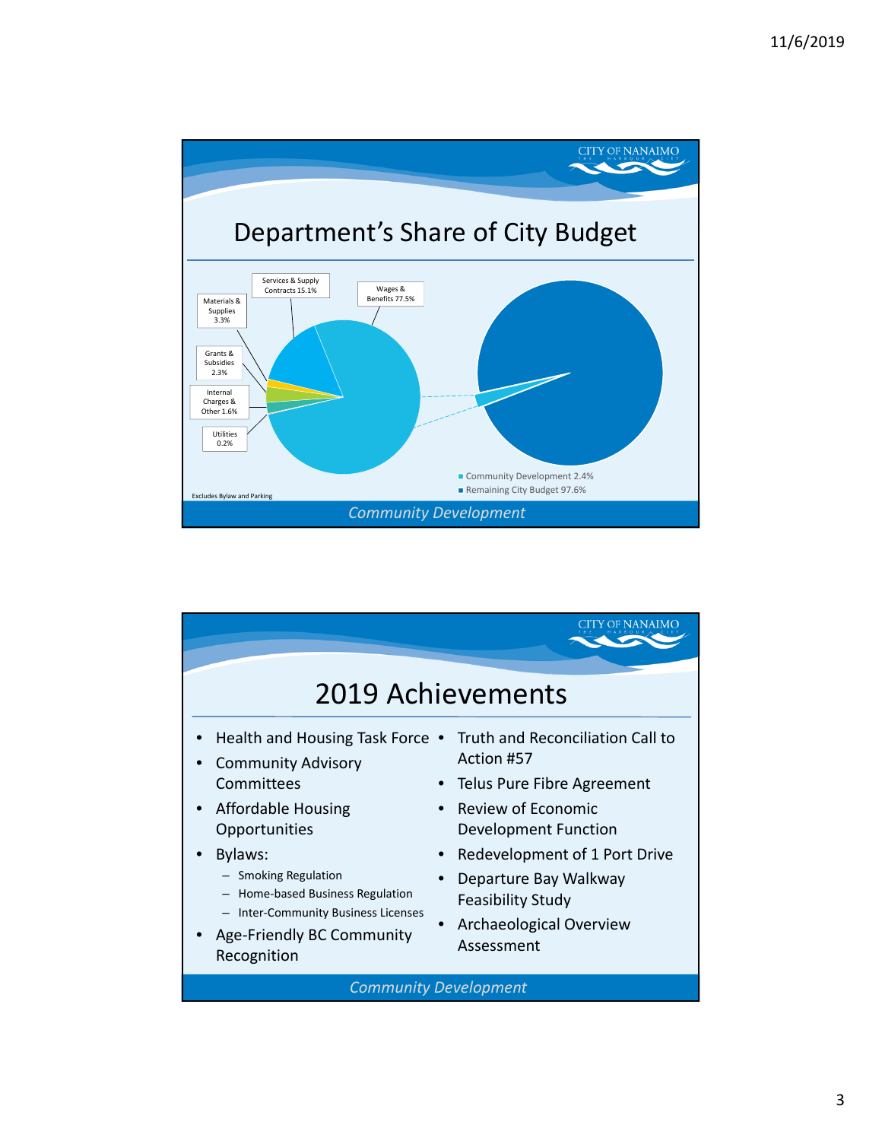

| 2019 Achievements                                                                                                                                                                                                                                                                     |                                                                                                                                                                                                                                                                  |  |  |  |
|---------------------------------------------------------------------------------------------------------------------------------------------------------------------------------------------------------------------------------------------------------------------------------------|------------------------------------------------------------------------------------------------------------------------------------------------------------------------------------------------------------------------------------------------------------------|--|--|--|
| Health and Housing Task Force .<br><b>Community Advisory</b><br>Committees<br><b>Affordable Housing</b><br>Opportunities<br>Bylaws:<br>- Smoking Regulation<br>Home-based Business Regulation<br><b>Inter-Community Business Licenses</b><br>Age-Friendly BC Community<br>Recognition | Truth and Reconciliation Call to<br>Action #57<br>Telus Pure Fibre Agreement<br>Review of Economic<br><b>Development Function</b><br>Redevelopment of 1 Port Drive<br>Departure Bay Walkway<br><b>Feasibility Study</b><br>Archaeological Overview<br>Assessment |  |  |  |
|                                                                                                                                                                                                                                                                                       | <b>Community Development</b>                                                                                                                                                                                                                                     |  |  |  |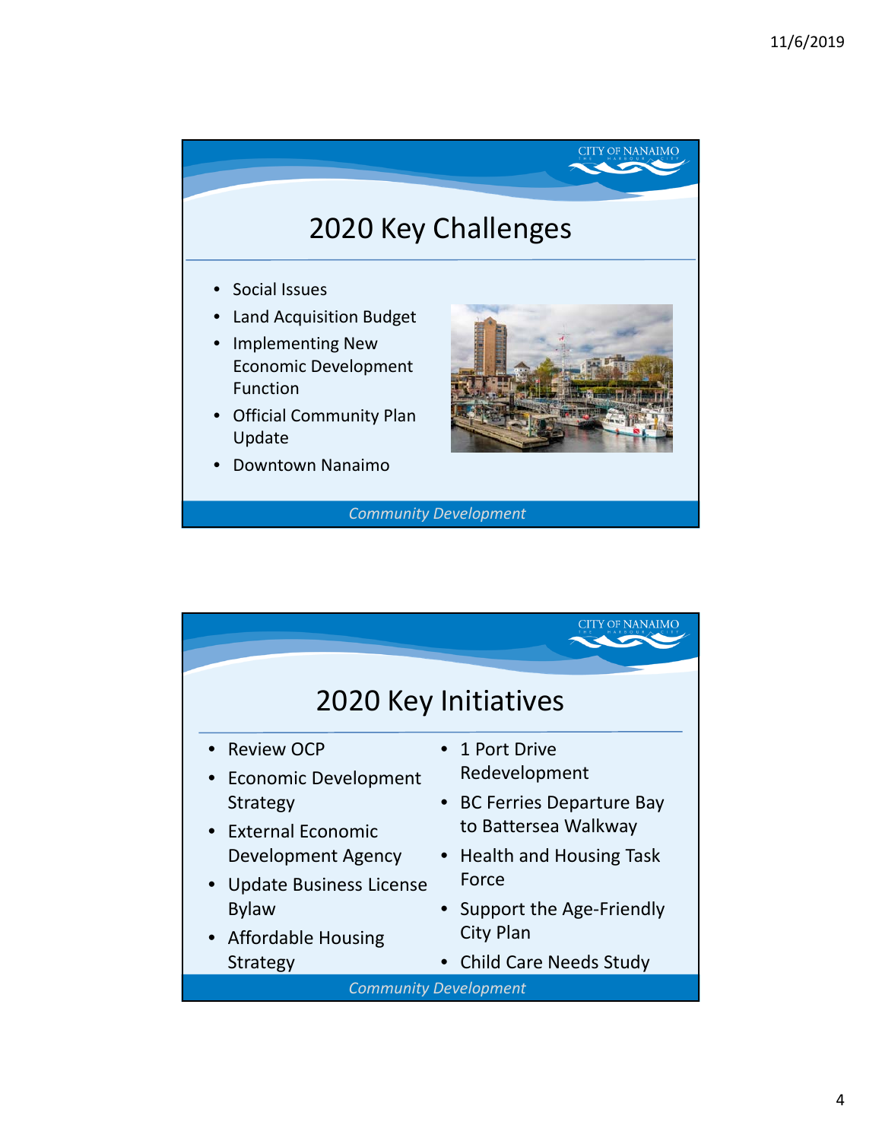## 2020 Key Challenges

- Social Issues
- Land Acquisition Budget
- Implementing New Economic Development Function
- Official Community Plan Update
- Downtown Nanaimo



**CITY OF NANAIMO** 

*Community Development*

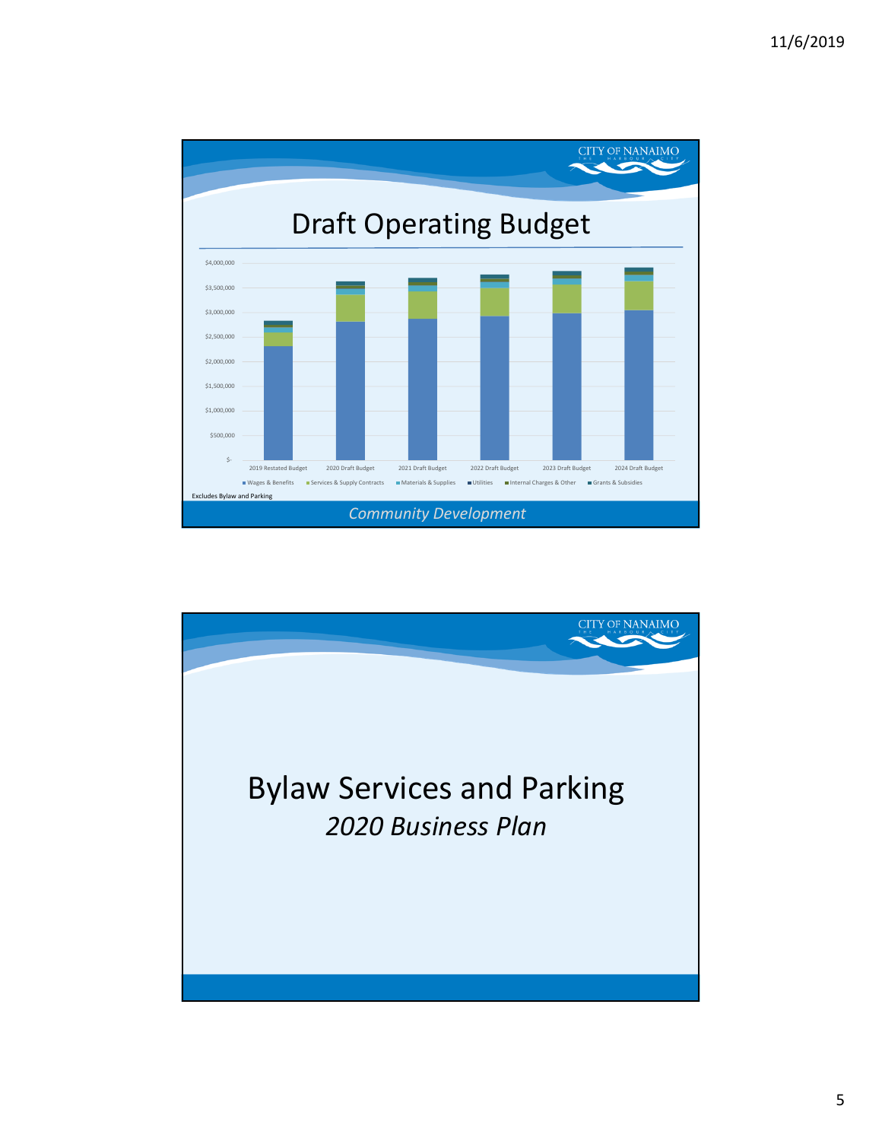

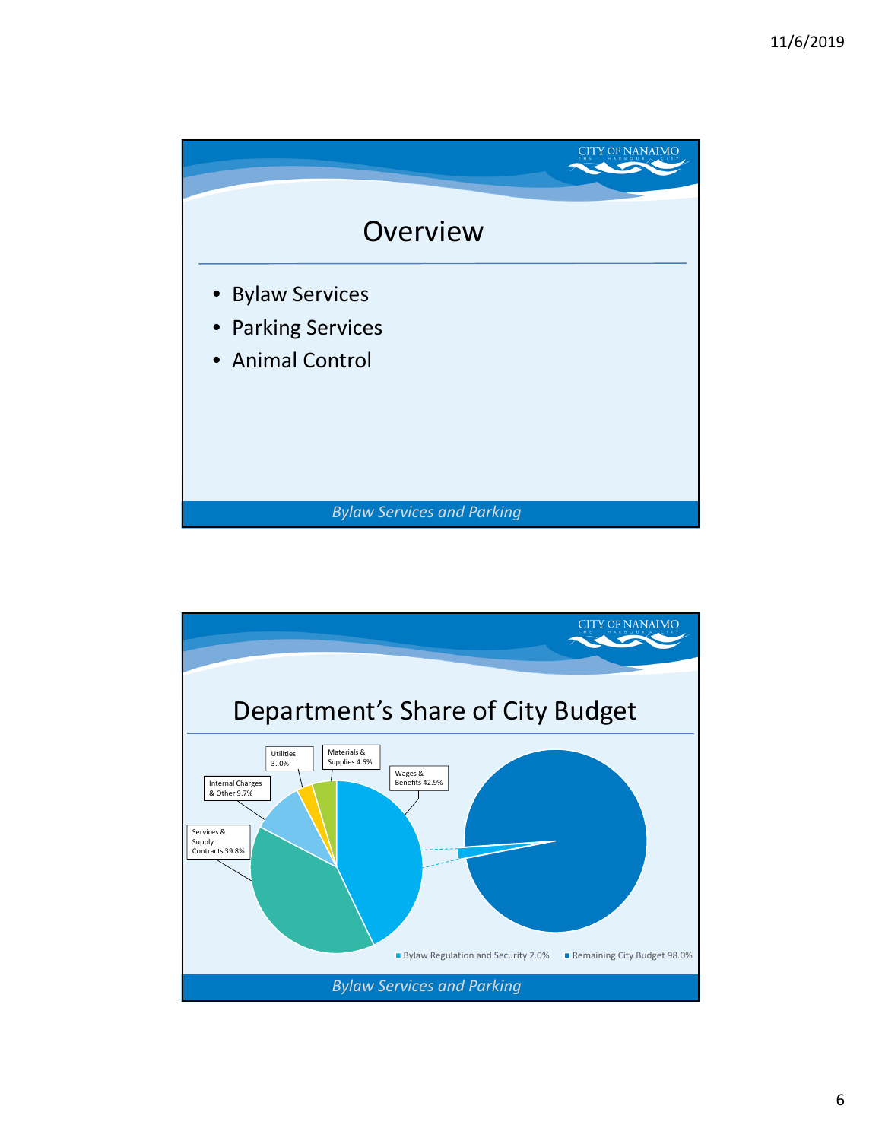

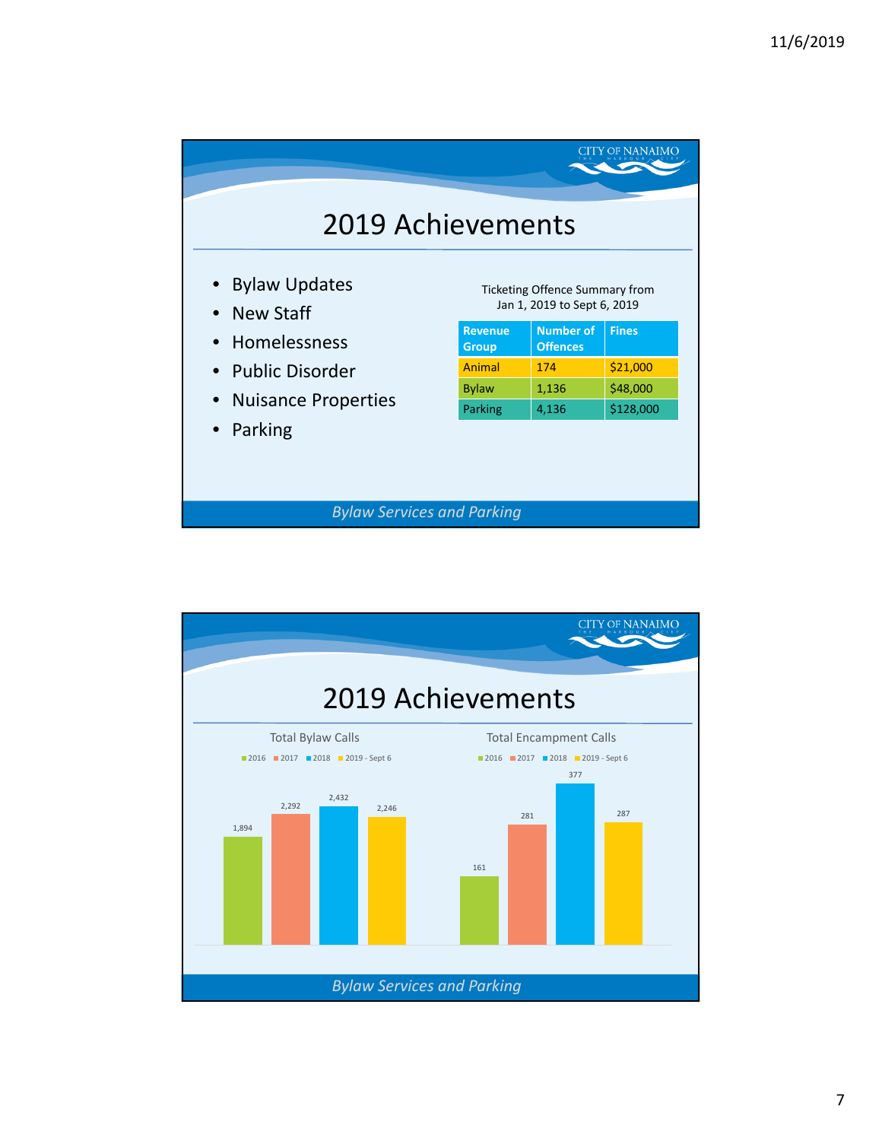|                                   |                                                                      |                                     | CITY OF NANAIMO |  |
|-----------------------------------|----------------------------------------------------------------------|-------------------------------------|-----------------|--|
| <b>2019 Achievements</b>          |                                                                      |                                     |                 |  |
| • Bylaw Updates<br>• New Staff    | <b>Ticketing Offence Summary from</b><br>Jan 1, 2019 to Sept 6, 2019 |                                     |                 |  |
| • Homelessness                    | <b>Revenue</b><br><b>Group</b>                                       | <b>Number of</b><br><b>Offences</b> | <b>Fines</b>    |  |
| • Public Disorder                 | Animal                                                               | 174                                 | \$21,000        |  |
| • Nuisance Properties             | <b>Bylaw</b>                                                         | 1,136                               | \$48,000        |  |
| Parking                           | Parking                                                              | 4,136                               | \$128,000       |  |
| <b>Bylaw Services and Parking</b> |                                                                      |                                     |                 |  |

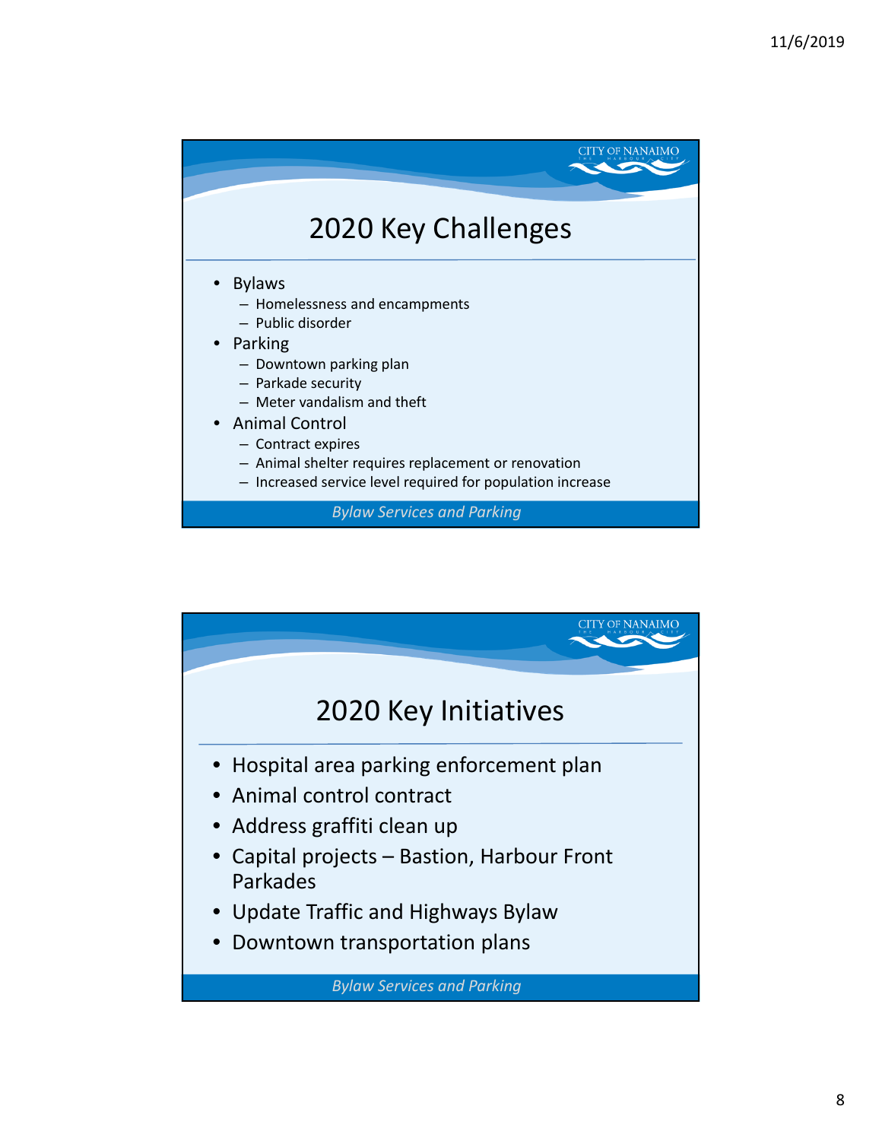

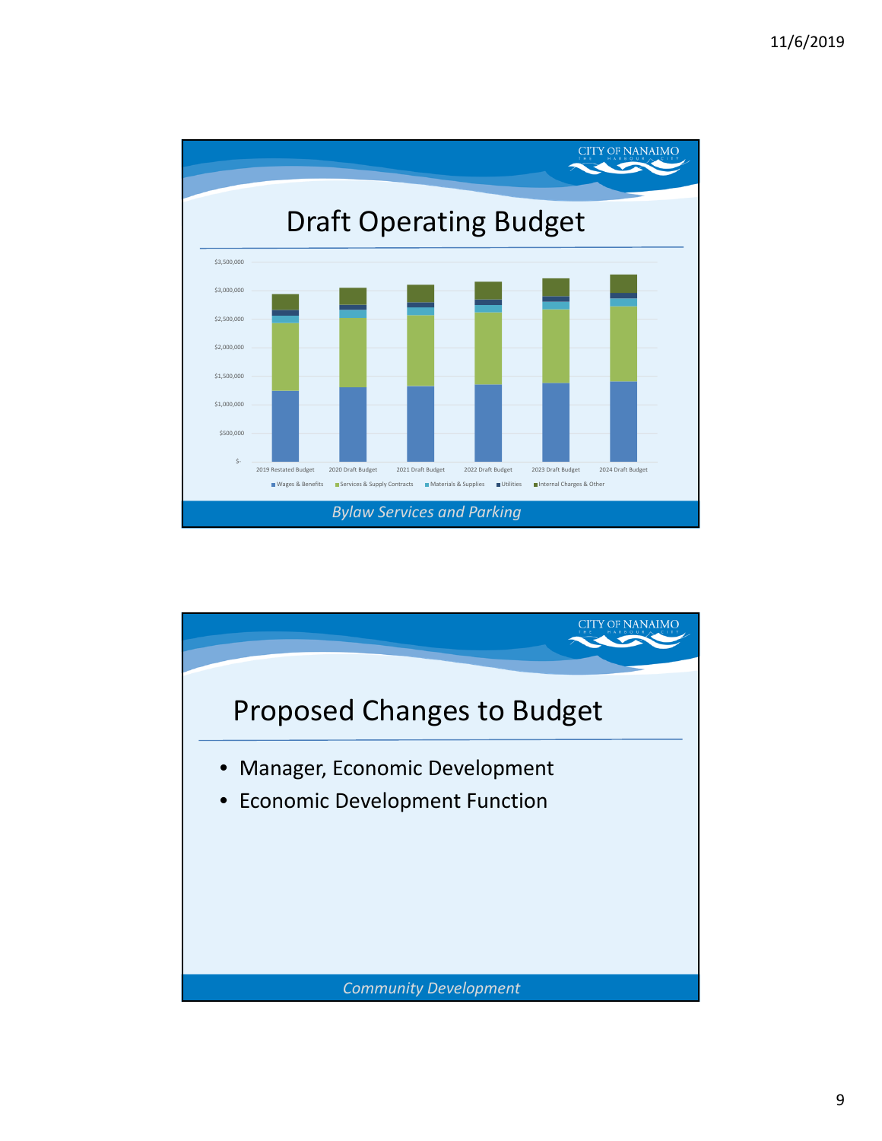

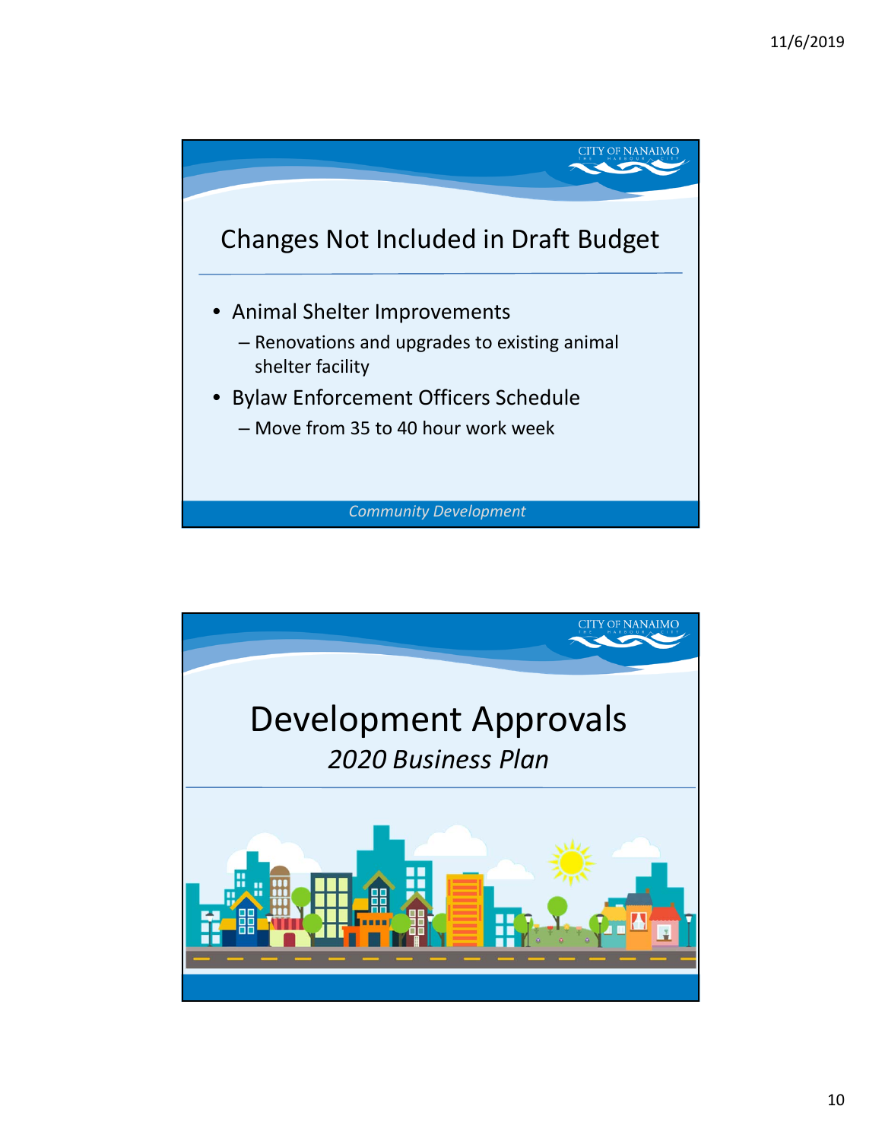

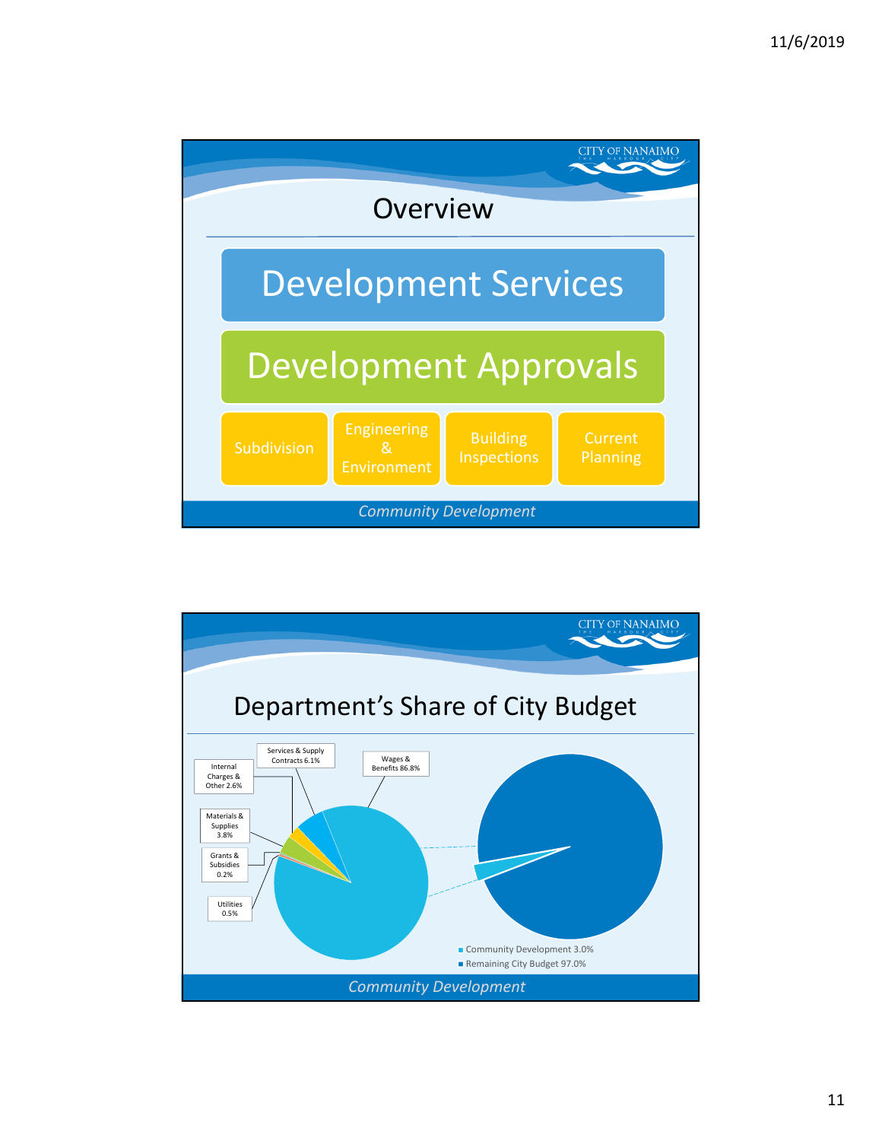

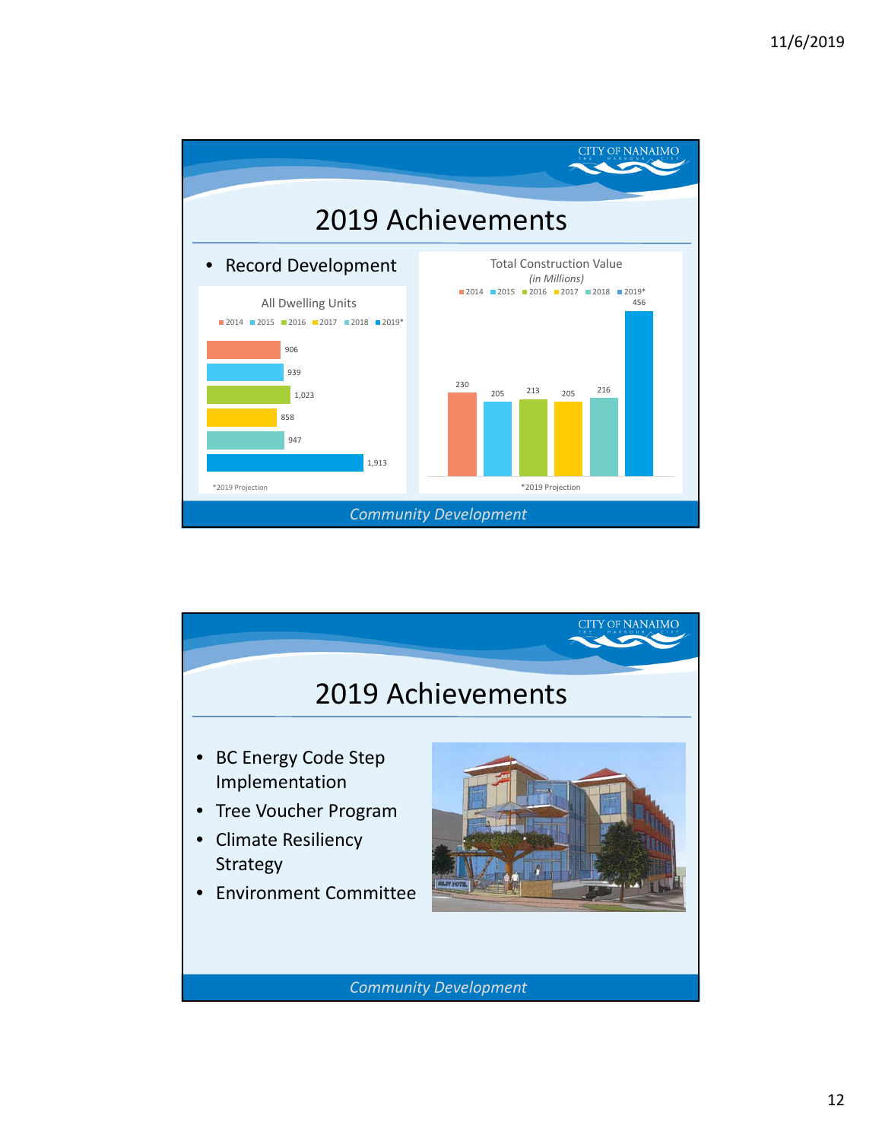

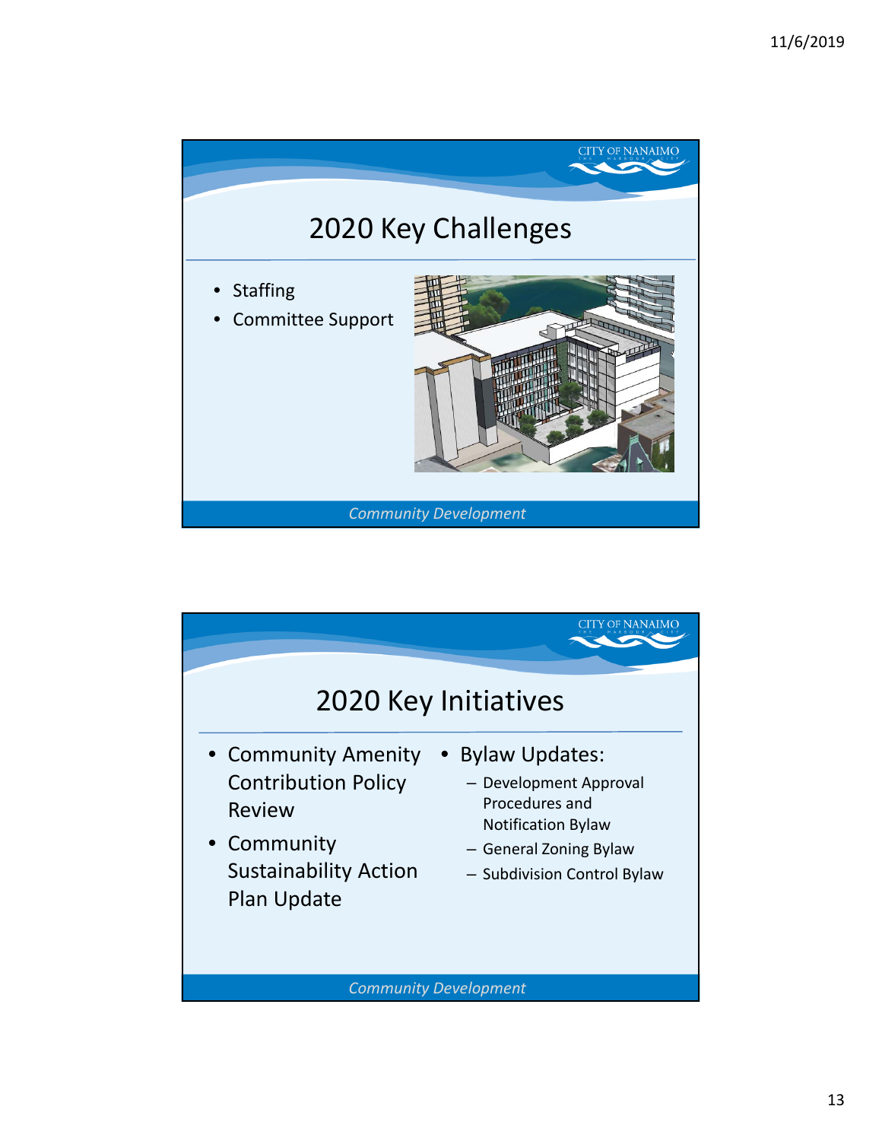

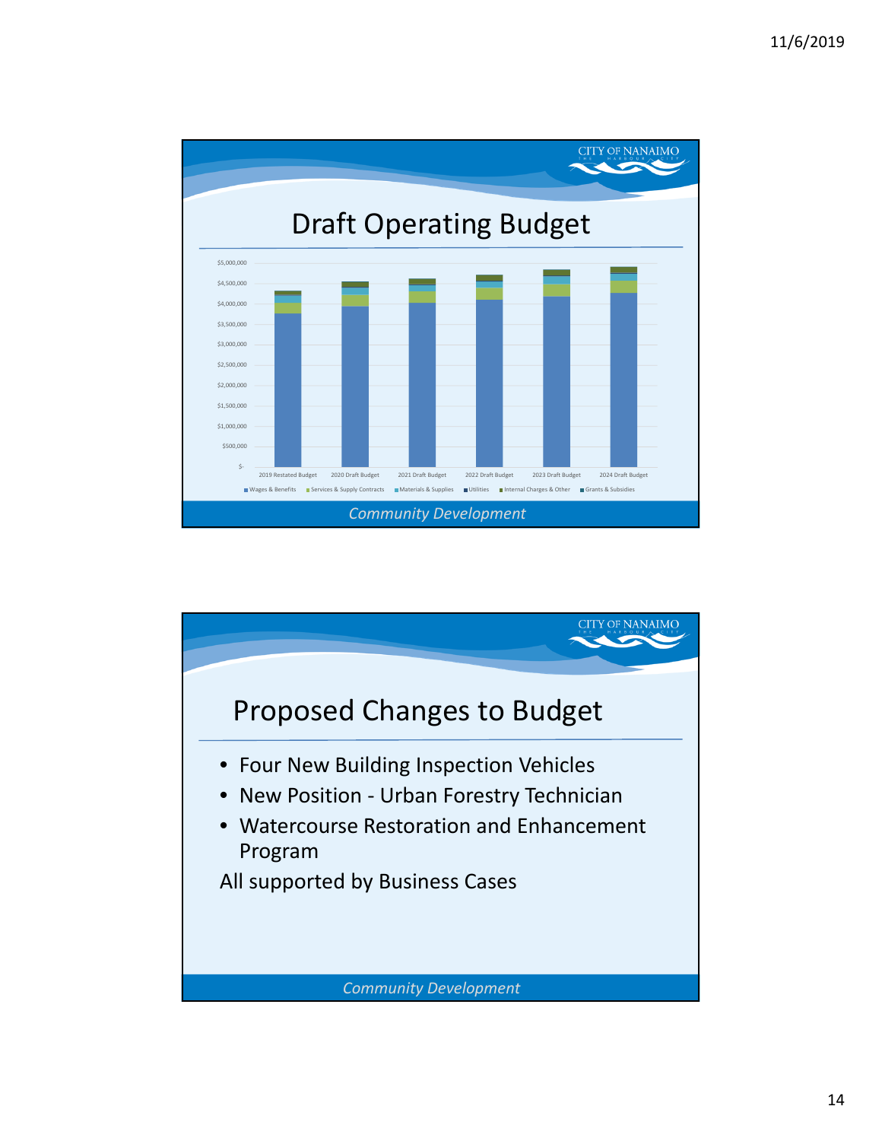